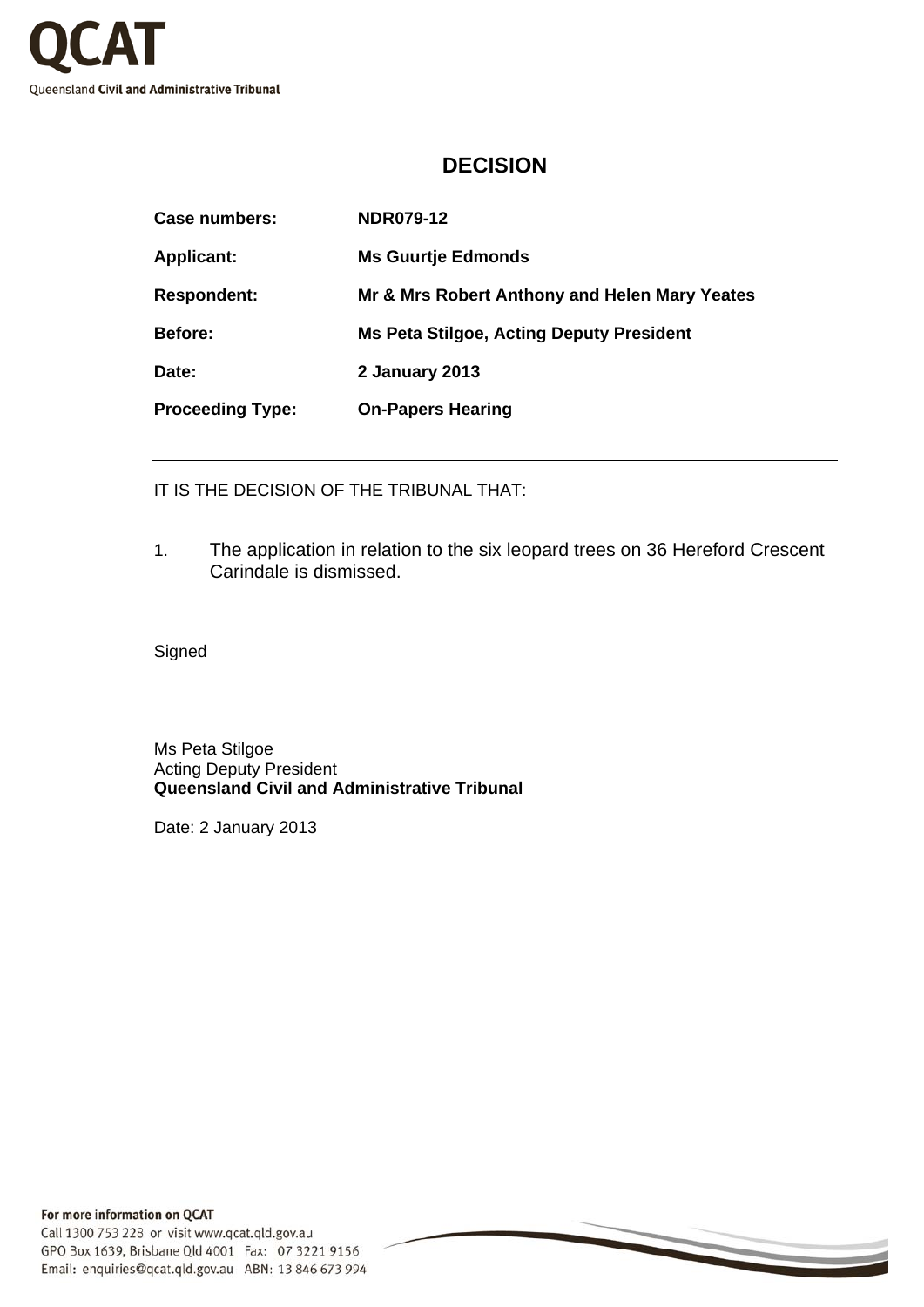

## **DECISION**

| <b>NDR079-12</b>                                |
|-------------------------------------------------|
| <b>Ms Guurtje Edmonds</b>                       |
| Mr & Mrs Robert Anthony and Helen Mary Yeates   |
| <b>Ms Peta Stilgoe, Acting Deputy President</b> |
| 2 January 2013                                  |
| <b>On-Papers Hearing</b>                        |
|                                                 |

IT IS THE DECISION OF THE TRIBUNAL THAT:

1. The application in relation to the six leopard trees on 36 Hereford Crescent Carindale is dismissed.

**Signed** 

Ms Peta Stilgoe Acting Deputy President **Queensland Civil and Administrative Tribunal** 

Date: 2 January 2013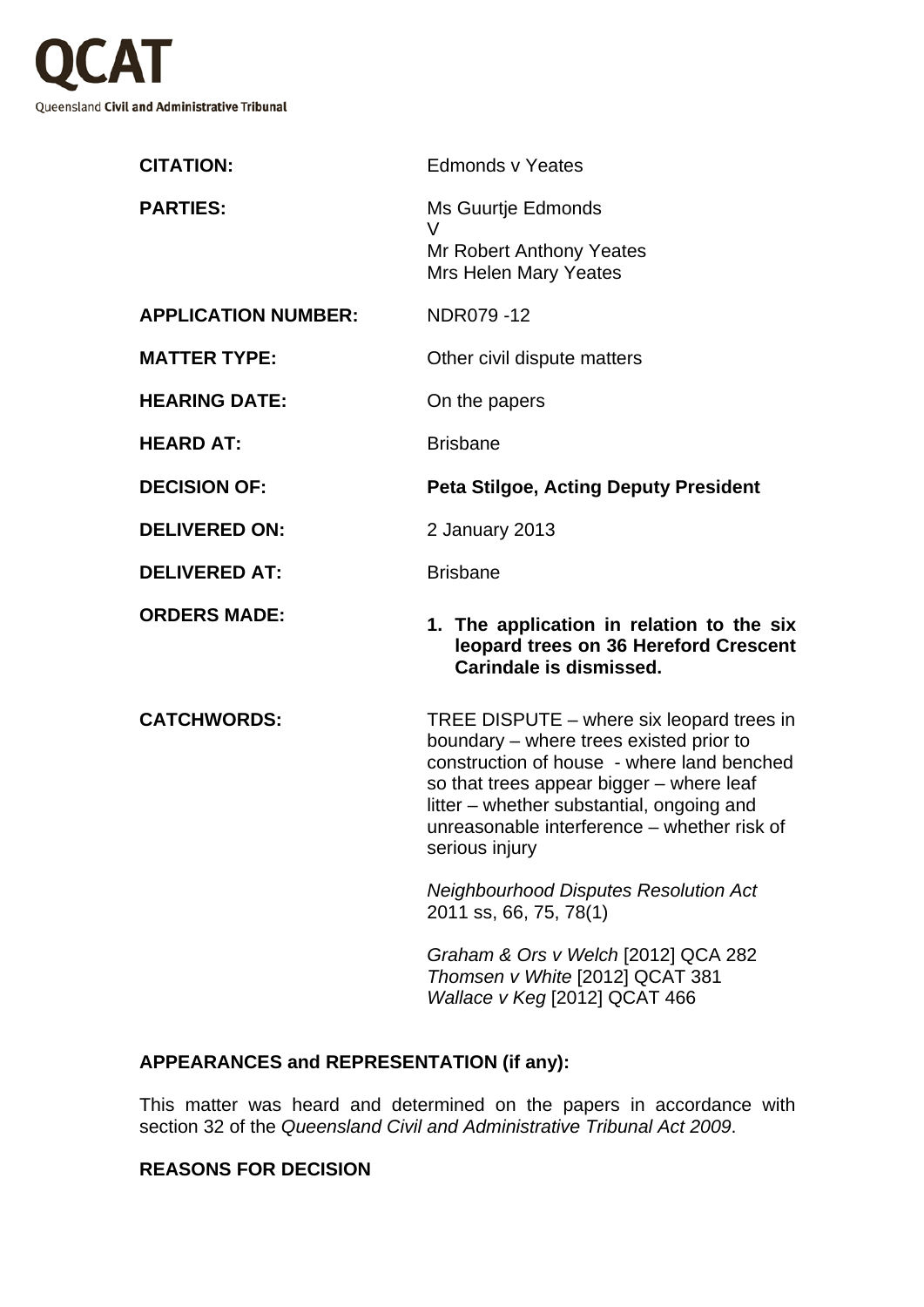

| <b>Edmonds v Yeates</b>                                                                                                                                                                                                                                                                      |
|----------------------------------------------------------------------------------------------------------------------------------------------------------------------------------------------------------------------------------------------------------------------------------------------|
| Ms Guurtje Edmonds<br>V<br><b>Mr Robert Anthony Yeates</b><br>Mrs Helen Mary Yeates                                                                                                                                                                                                          |
| NDR079-12                                                                                                                                                                                                                                                                                    |
| Other civil dispute matters                                                                                                                                                                                                                                                                  |
| On the papers                                                                                                                                                                                                                                                                                |
| <b>Brisbane</b>                                                                                                                                                                                                                                                                              |
| <b>Peta Stilgoe, Acting Deputy President</b>                                                                                                                                                                                                                                                 |
| 2 January 2013                                                                                                                                                                                                                                                                               |
| <b>Brisbane</b>                                                                                                                                                                                                                                                                              |
| 1. The application in relation to the six<br>leopard trees on 36 Hereford Crescent<br>Carindale is dismissed.                                                                                                                                                                                |
| TREE DISPUTE – where six leopard trees in<br>boundary - where trees existed prior to<br>construction of house - where land benched<br>so that trees appear bigger - where leaf<br>litter – whether substantial, ongoing and<br>unreasonable interference - whether risk of<br>serious injury |
| <b>Neighbourhood Disputes Resolution Act</b><br>2011 ss, 66, 75, 78(1)                                                                                                                                                                                                                       |
|                                                                                                                                                                                                                                                                                              |

*Graham & Ors v Welch* [2012] QCA 282 *Thomsen v White* [2012] QCAT 381 *Wallace v Keg* [2012] QCAT 466

## **APPEARANCES and REPRESENTATION (if any):**

This matter was heard and determined on the papers in accordance with section 32 of the *Queensland Civil and Administrative Tribunal Act 2009*.

## **REASONS FOR DECISION**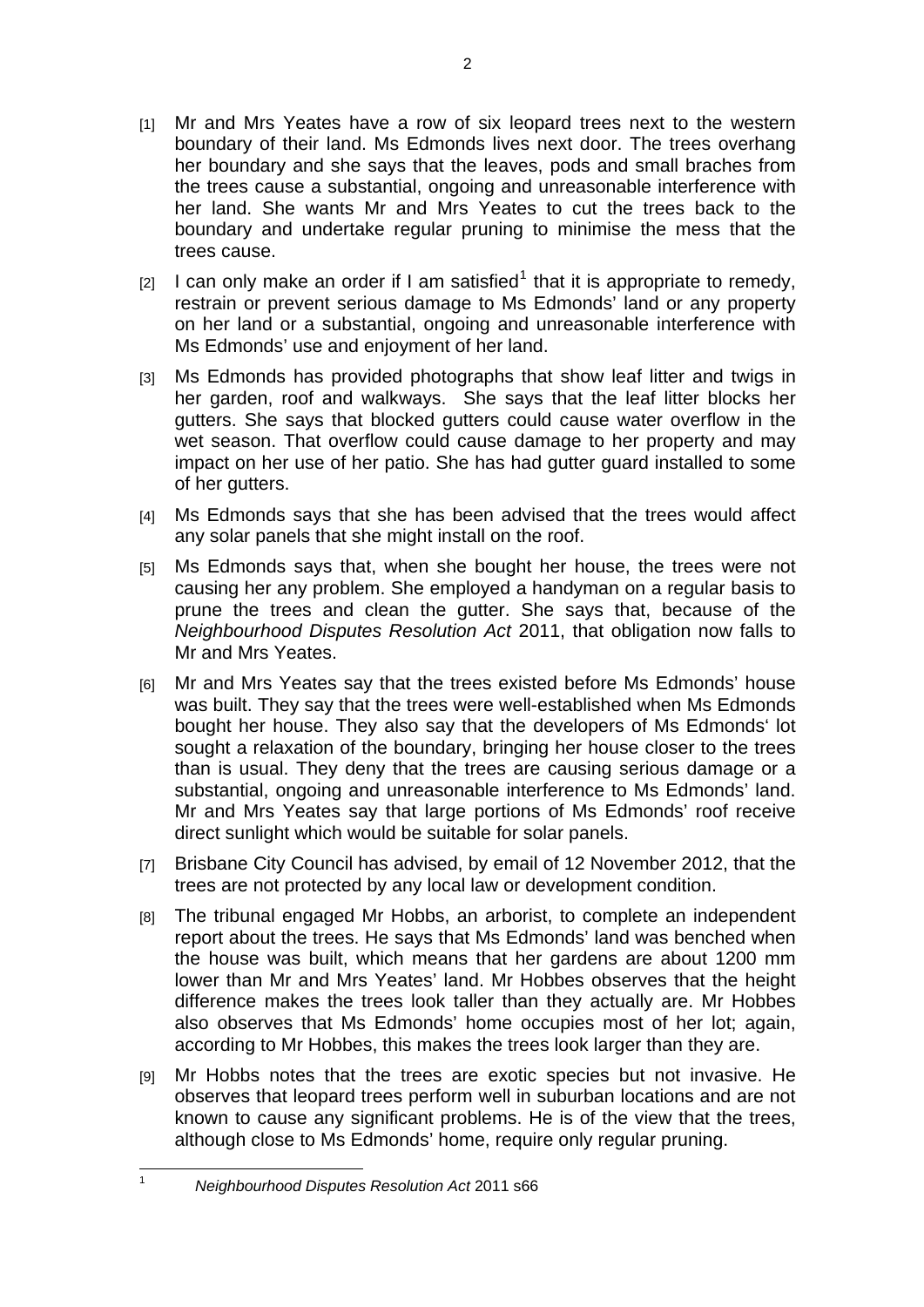- [1] Mr and Mrs Yeates have a row of six leopard trees next to the western boundary of their land. Ms Edmonds lives next door. The trees overhang her boundary and she says that the leaves, pods and small braches from the trees cause a substantial, ongoing and unreasonable interference with her land. She wants Mr and Mrs Yeates to cut the trees back to the boundary and undertake regular pruning to minimise the mess that the trees cause.
- $[2]$  I can only make an order if I am satisfied<sup>[1](#page-2-0)</sup> that it is appropriate to remedy, restrain or prevent serious damage to Ms Edmonds' land or any property on her land or a substantial, ongoing and unreasonable interference with Ms Edmonds' use and enjoyment of her land.
- [3] Ms Edmonds has provided photographs that show leaf litter and twigs in her garden, roof and walkways. She says that the leaf litter blocks her gutters. She says that blocked gutters could cause water overflow in the wet season. That overflow could cause damage to her property and may impact on her use of her patio. She has had gutter guard installed to some of her gutters.
- [4] Ms Edmonds says that she has been advised that the trees would affect any solar panels that she might install on the roof.
- [5] Ms Edmonds says that, when she bought her house, the trees were not causing her any problem. She employed a handyman on a regular basis to prune the trees and clean the gutter. She says that, because of the *Neighbourhood Disputes Resolution Act* 2011, that obligation now falls to Mr and Mrs Yeates.
- [6] Mr and Mrs Yeates say that the trees existed before Ms Edmonds' house was built. They say that the trees were well-established when Ms Edmonds bought her house. They also say that the developers of Ms Edmonds' lot sought a relaxation of the boundary, bringing her house closer to the trees than is usual. They deny that the trees are causing serious damage or a substantial, ongoing and unreasonable interference to Ms Edmonds' land. Mr and Mrs Yeates say that large portions of Ms Edmonds' roof receive direct sunlight which would be suitable for solar panels.
- [7] Brisbane City Council has advised, by email of 12 November 2012, that the trees are not protected by any local law or development condition.
- [8] The tribunal engaged Mr Hobbs, an arborist, to complete an independent report about the trees. He says that Ms Edmonds' land was benched when the house was built, which means that her gardens are about 1200 mm lower than Mr and Mrs Yeates' land. Mr Hobbes observes that the height difference makes the trees look taller than they actually are. Mr Hobbes also observes that Ms Edmonds' home occupies most of her lot; again, according to Mr Hobbes, this makes the trees look larger than they are.
- [9] Mr Hobbs notes that the trees are exotic species but not invasive. He observes that leopard trees perform well in suburban locations and are not known to cause any significant problems. He is of the view that the trees, although close to Ms Edmonds' home, require only regular pruning.

<span id="page-2-0"></span> $\frac{1}{1}$ 

*Neighbourhood Disputes Resolution Act* 2011 s66